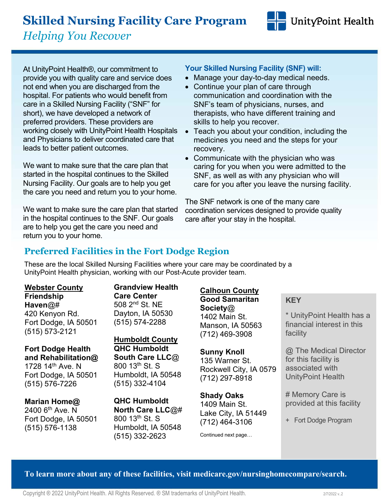# **Skilled Nursing Facility Care Program**

*Helping You Recover*

At UnityPoint Health®, our commitment to provide you with quality care and service does not end when you are discharged from the hospital. For patients who would benefit from care in a Skilled Nursing Facility ("SNF" for short), we have developed a network of preferred providers. These providers are working closely with UnityPoint Health Hospitals and Physicians to deliver coordinated care that leads to better patient outcomes.

We want to make sure that the care plan that started in the hospital continues to the Skilled Nursing Facility. Our goals are to help you get the care you need and return you to your home.

We want to make sure the care plan that started in the hospital continues to the SNF. Our goals are to help you get the care you need and return you to your home.

#### **Your Skilled Nursing Facility (SNF) will:**

- Manage your day-to-day medical needs.
- Continue your plan of care through communication and coordination with the SNF's team of physicians, nurses, and therapists, who have different training and skills to help you recover.
- Teach you about your condition, including the medicines you need and the steps for your recovery.
- Communicate with the physician who was caring for you when you were admitted to the SNF, as well as with any physician who will care for you after you leave the nursing facility.

The SNF network is one of the many care coordination services designed to provide quality care after your stay in the hospital.

## **Preferred Facilities in the Fort Dodge Region**

These are the local Skilled Nursing Facilities where your care may be coordinated by a UnityPoint Health physician, working with our Post-Acute provider team.

**Webster County Friendship Haven**@# 420 Kenyon Rd. Fort Dodge, IA 50501 (515) 573-2121

**Fort Dodge Health and Rehabilitation@** 1728  $14<sup>th</sup>$  Ave. N Fort Dodge, IA 50501 (515) 576-7226

**Marian Home@**  $2400$  6<sup>th</sup> Ave. N Fort Dodge, IA 50501 (515) 576-1138

**Grandview Health Care Center** 508 2nd St. NE Dayton, IA 50530 (515) 574-2288

**Humboldt County QHC Humboldt South Care LLC**@ 800 13th St. S Humboldt, IA 50548 (515) 332-4104

**QHC Humboldt North Care LLC**@# 800 13th St. S Humboldt, IA 50548 (515) 332-2623

#### **Calhoun County**

**Good Samaritan Society**@ 1402 Main St. Manson, IA 50563 (712) 469-3908

**Sunny Knoll** 135 Warner St. Rockwell City, IA 0579 (712) 297-8918

**Shady Oaks** 1409 Main St. Lake City, IA 51449 (712) 464-3106

Continued next page…

#### **KEY**

\* UnityPoint Health has a financial interest in this facility

UnityPoint Health

@ The Medical Director for this facility is associated with UnityPoint Health

# Memory Care is provided at this facility

+ Fort Dodge Program

**To learn more about any of these facilities, visit medicare.gov/nursinghomecompare/search.**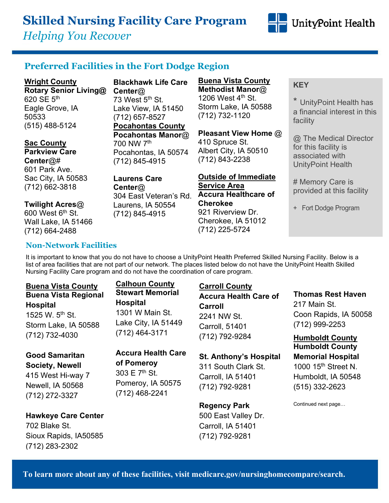## **Skilled Nursing Facility Care Program**

*Helping You Recover*



#### **Preferred Facilities in the Fort Dodge Region**

**Wright County Rotary Senior Living@** 620 SE  $5<sup>th</sup>$ Eagle Grove, IA 50533 (515) 488-5124

**Sac County Parkview Care Center**@# 601 Park Ave. Sac City, IA 50583 (712) 662-3818

#### **Twilight Acres**@

 $600$  West  $6<sup>th</sup>$  St. Wall Lake, IA 51466 (712) 664-2488

**Blackhawk Life Care Center**@ 73 West  $5<sup>th</sup>$  St. Lake View, IA 51450 (712) 657-8527 **Pocahontas County Pocahontas Manor**@ 700 NW 7th Pocahontas, IA 50574 (712) 845-4915

**Laurens Care Center**@ 304 East Veteran's Rd. Laurens, IA 50554 (712) 845-4915

**Buena Vista County Methodist Manor**@ 1206 West 4<sup>th</sup> St. Storm Lake, IA 50588 (712) 732-1120

**Pleasant View Home** @ 410 Spruce St. Albert City, IA 50510 (712) 843-2238

**Outside of Immediate Service Area Accura Healthcare of Cherokee** 921 Riverview Dr. Cherokee, IA 51012 (712) 225-5724

#### **KEY**

\* UnityPoint Health has a financial interest in this facility

@ The Medical Director for this facility is associated with UnityPoint Health

# Memory Care is provided at this facility

+ Fort Dodge Program

#### **Non-Network Facilities**

It is important to know that you do not have to choose a UnityPoint Health Preferred Skilled Nursing Facility. Below is a list of area facilities that are not part of our network. The places listed below do not have the UnityPoint Health Skilled Nursing Facility Care program and do not have the coordination of care program.

#### **Buena Vista County Buena Vista Regional Hospital**

1525 W.  $5^{th}$  St. Storm Lake, IA 50588 (712) 732-4030

#### **Calhoun County Stewart Memorial Hospital** 1301 W Main St. Lake City, IA 51449 (712) 464-3171

**Good Samaritan Society, Newell** 415 West Hi-way 7

Newell, IA 50568 (712) 272-3327

i

#### **Hawkeye Care Center** 702 Blake St. Sioux Rapids, IA50585 (712) 283-2302

**Accura Health Care of Pomeroy**

303 E  $7<sup>th</sup>$  St. Pomeroy, IA 50575 (712) 468-2241

#### **Carroll County**

**Accura Health Care of Carroll** 2241 NW St. Carroll, 51401 (712) 792-9284

#### **St. Anthony's Hospital**

311 South Clark St. Carroll, IA 51401 (712) 792-9281

#### **Regency Park**

500 East Valley Dr. Carroll, IA 51401 (712) 792-9281

**Thomas Rest Haven** 217 Main St. Coon Rapids, IA 50058 (712) 999-2253

**Humboldt County Humboldt County Memorial Hospital** 1000 15<sup>th</sup> Street N. Humboldt, IA 50548 (515) 332-2623

Continued next page…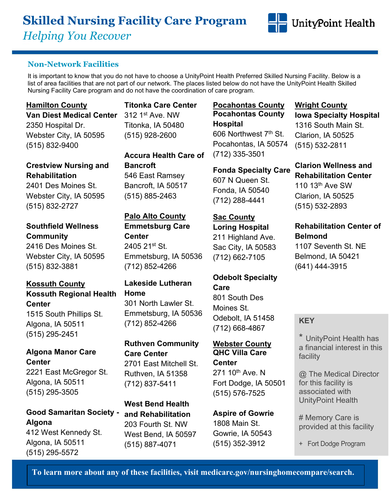# **Skilled Nursing Facility Care Program** *Helping You Recover*



#### **Non-Network Facilities**

It is important to know that you do not have to choose a UnityPoint Health Preferred Skilled Nursing Facility. Below is a list of area facilities that are not part of our network. The places listed below do not have the UnityPoint Health Skilled Nursing Facility Care program and do not have the coordination of care program.

#### **Hamilton County**

**Van Diest Medical Center**

2350 Hospital Dr. Webster City, IA 50595 (515) 832-9400

#### **Crestview Nursing and Rehabilitation**

2401 Des Moines St. Webster City, IA 50595 (515) 832-2727

#### **Southfield Wellness Community**

2416 Des Moines St. Webster City, IA 50595 (515) 832-3881

#### **Kossuth County Kossuth Regional Health Center**

1515 South Phillips St. Algona, IA 50511 (515) 295-2451

#### **Algona Manor Care Center**

2221 East McGregor St. Algona, IA 50511 (515) 295-3505

**Good Samaritan Society - Algona**

412 West Kennedy St. Algona, IA 50511 (515) 295-5572

**Titonka Care Center** 312 1st Ave. NW Titonka, IA 50480 (515) 928-2600

**Accura Health Care of Bancroft** 546 East Ramsey Bancroft, IA 50517 (515) 885-2463

#### **Palo Alto County**

**Emmetsburg Care Center** 2405 21st St. Emmetsburg, IA 50536 (712) 852-4266

#### **Lakeside Lutheran Home**

301 North Lawler St. Emmetsburg, IA 50536 (712) 852-4266

**Ruthven Community Care Center** 2701 East Mitchell St. Ruthven, IA 51358 (712) 837-5411

**West Bend Health and Rehabilitation**  203 Fourth St. NW West Bend, IA 50597 (515) 887-4071

#### **Pocahontas County Pocahontas County Hospital** 606 Northwest 7th St.

Pocahontas, IA 50574 (712) 335-3501

#### **Fonda Specialty Care**

607 N Queen St. Fonda, IA 50540 (712) 288-4441

#### **Sac County**

**Loring Hospital**  211 Highland Ave. Sac City, IA 50583 (712) 662-7105

**Odebolt Specialty Care** 801 South Des Moines St. Odebolt, IA 51458

(712) 668-4867

#### **Webster County QHC Villa Care Center** 271 10<sup>th</sup> Ave. N Fort Dodge, IA 50501 (515) 576-7525

**Aspire of Gowrie** 1808 Main St. Gowrie, IA 50543 (515) 352-3912

#### **Wright County Iowa Specialty Hospital** 1316 South Main St. Clarion, IA 50525 (515) 532-2811

**Clarion Wellness and Rehabilitation Center** 110 13th Ave SW Clarion, IA 50525

(515) 532-2893

## **Rehabilitation Center of Belmond**

1107 Seventh St. NE Belmond, IA 50421 (641) 444-3915

#### **KEY**

\* UnityPoint Health has a financial interest in this facility

@ The Medical Director for this facility is associated with UnityPoint Health

# Memory Care is provided at this facility

+ Fort Dodge Program

**To learn more about any of these facilities, visit medicare.gov/nursinghomecompare/search.**